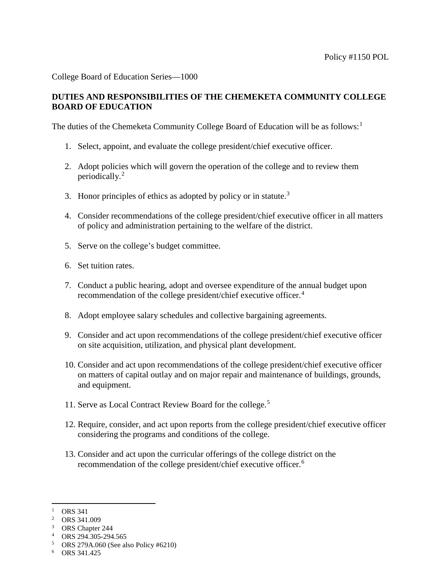College Board of Education Series—1000

## **DUTIES AND RESPONSIBILITIES OF THE CHEMEKETA COMMUNITY COLLEGE BOARD OF EDUCATION**

The duties of the Chemeketa Community College Board of Education will be as follows:<sup>[1](#page-0-0)</sup>

- 1. Select, appoint, and evaluate the college president/chief executive officer.
- 2. Adopt policies which will govern the operation of the college and to review them periodically.[2](#page-0-1)
- [3](#page-0-2). Honor principles of ethics as adopted by policy or in statute.<sup>3</sup>
- 4. Consider recommendations of the college president/chief executive officer in all matters of policy and administration pertaining to the welfare of the district.
- 5. Serve on the college's budget committee.
- 6. Set tuition rates.
- 7. Conduct a public hearing, adopt and oversee expenditure of the annual budget upon recommendation of the college president/chief executive officer.[4](#page-0-3)
- 8. Adopt employee salary schedules and collective bargaining agreements.
- 9. Consider and act upon recommendations of the college president/chief executive officer on site acquisition, utilization, and physical plant development.
- 10. Consider and act upon recommendations of the college president/chief executive officer on matters of capital outlay and on major repair and maintenance of buildings, grounds, and equipment.
- 11. Serve as Local Contract Review Board for the college. [5](#page-0-4)
- 12. Require, consider, and act upon reports from the college president/chief executive officer considering the programs and conditions of the college.
- 13. Consider and act upon the curricular offerings of the college district on the recommendation of the college president/chief executive officer.<sup>[6](#page-0-5)</sup>

<span id="page-0-0"></span> $\overline{a}$  $1$  ORS 341

<span id="page-0-1"></span><sup>2</sup> ORS 341.009

<span id="page-0-2"></span><sup>&</sup>lt;sup>3</sup> ORS Chapter 244

<span id="page-0-3"></span><sup>4</sup> ORS 294.305-294.565

<span id="page-0-4"></span><sup>5</sup> ORS 279A.060 (See also Policy #6210)

<span id="page-0-5"></span><sup>6</sup> ORS 341.425